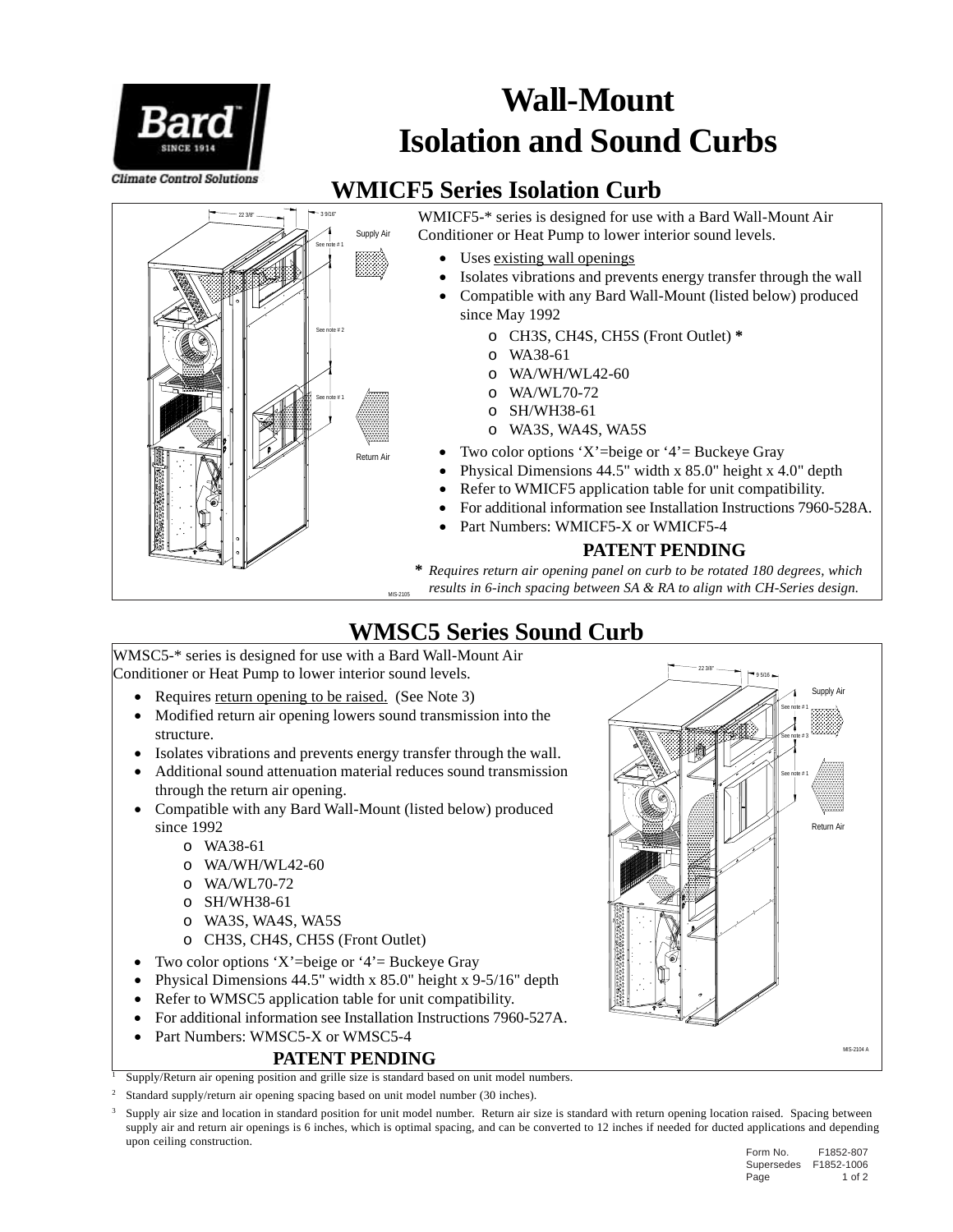

# **Wall-Mount Isolation and Sound Curbs**

### **WMICF5 Series Isolation Curb**



WMICF5-\* series is designed for use with a Bard Wall-Mount Air Conditioner or Heat Pump to lower interior sound levels.

- Uses existing wall openings
- Isolates vibrations and prevents energy transfer through the wall
- Compatible with any Bard Wall-Mount (listed below) produced since May 1992
	- o CH3S, CH4S, CH5S (Front Outlet) **\***
	- o WA38-61
	- o WA/WH/WL42-60
	- o WA/WL70-72
	- o SH/WH38-61
	- o WA3S, WA4S, WA5S
- Two color options 'X'=beige or '4'= Buckeye Gray
- Physical Dimensions 44.5" width x 85.0" height x 4.0" depth
- Refer to WMICF5 application table for unit compatibility.
- For additional information see Installation Instructions 7960-528A.
- Part Numbers: WMICF5-X or WMICF5-4

#### **PATENT PENDING**

**\*** *Requires return air opening panel on curb to be rotated 180 degrees, which results in 6-inch spacing between SA & RA to align with CH-Series design.*

### **WMSC5 Series Sound Curb**

WMSC5-\* series is designed for use with a Bard Wall-Mount Air Conditioner or Heat Pump to lower interior sound levels.

- Requires return opening to be raised. (See Note 3)
- Modified return air opening lowers sound transmission into the structure.
- Isolates vibrations and prevents energy transfer through the wall.
- Additional sound attenuation material reduces sound transmission through the return air opening.
- Compatible with any Bard Wall-Mount (listed below) produced since 1992
	- o WA38-61
	- o WA/WH/WL42-60
	- o WA/WL70-72
	- o SH/WH38-61
	- o WA3S, WA4S, WA5S
	- o CH3S, CH4S, CH5S (Front Outlet)
- Two color options 'X'=beige or '4'= Buckeye Gray
- Physical Dimensions 44.5" width x 85.0" height x 9-5/16" depth
- Refer to WMSC5 application table for unit compatibility.
- For additional information see Installation Instructions 7960-527A.
- Part Numbers: WMSC5-X or WMSC5-4

#### **PATENT PENDING**

<sup>1</sup> Supply/Return air opening position and grille size is standard based on unit model numbers.

Standard supply/return air opening spacing based on unit model number (30 inches).

<sup>3</sup> Supply air size and location in standard position for unit model number. Return air size is standard with return opening location raised. Spacing between supply air and return air openings is 6 inches, which is optimal spacing, and can be converted to 12 inches if needed for ducted applications and depending upon ceiling construction.



Form No. F1852-807 Supersedes F1852-1006 Page 1 of 2